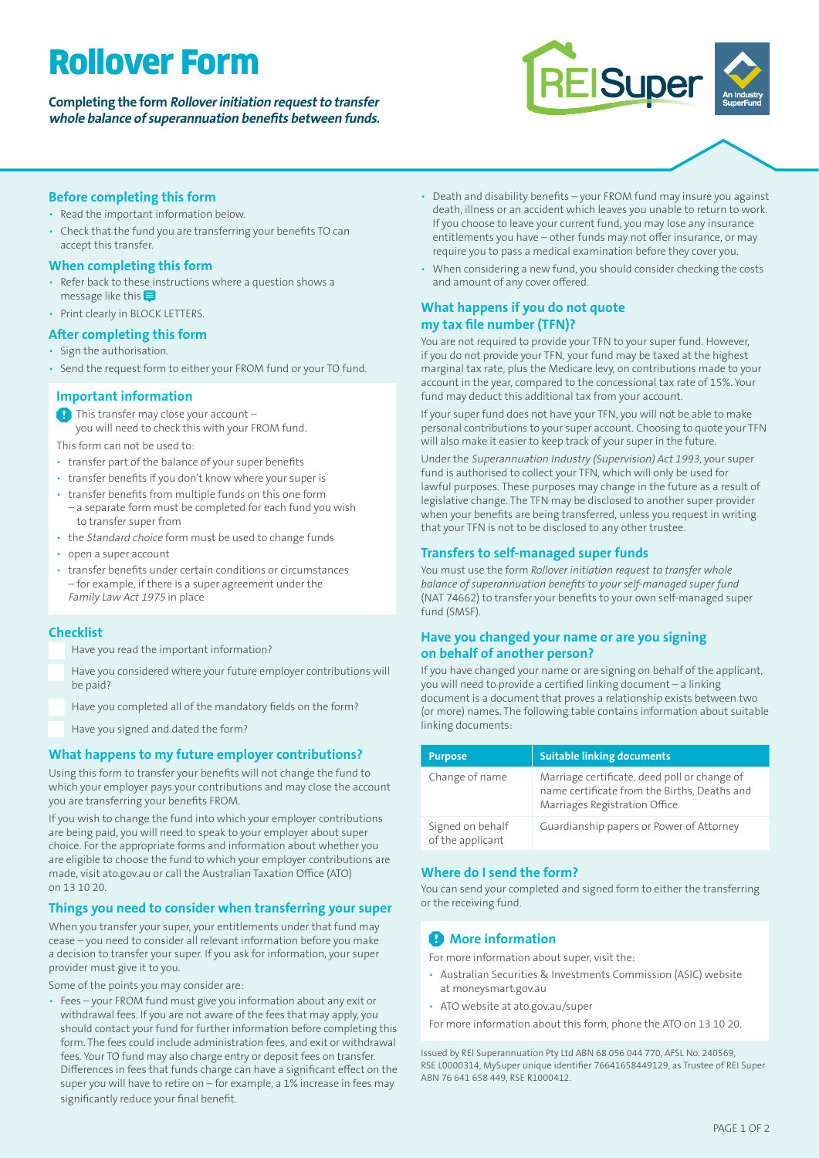# Rollover Form

# **Completing the form Rollover initiation request to transfer whole balance of superannuation benefits between funds.**



#### **Before completing this form**

#### • Read the important information below.

• Check that the fund you are transferring your benefits TO can accept this transfer.

#### **When completing this form**

- Refer back to these instructions where a question shows a message like this  $\blacksquare$
- Print clearly in BLOCK LETTERS.

# **After completing this form**

- Sign the authorisation.
- Send the request form to either your FROM fund or your TO fund.

#### **Important information**

This transfer may close your account – you will need to check this with your FROM fund.

This form can not be used to:

- transfer part of the balance of your super benefits
- transfer benefits if you don't know where your super is
- transfer benefits from multiple funds on this one form
- a separate form must be completed for each fund you wish to transfer super from
- the Standard choice form must be used to change funds
- open a super account
- transfer benefits under certain conditions or circumstances – for example, if there is a super agreement under the Family Law Act 1975 in place

#### **Checklist**

- Have you read the important information?
- Have you considered where your future employer contributions will be paid?
- Have you completed all of the mandatory fields on the form?
- Have you signed and dated the form?

#### **What happens to my future employer contributions?**

Using this form to transfer your benefits will not change the fund to which your employer pays your contributions and may close the account you are transferring your benefits FROM.

If you wish to change the fund into which your employer contributions are being paid, you will need to speak to your employer about super choice. For the appropriate forms and information about whether you are eligible to choose the fund to which your employer contributions are made, visit ato.gov.au or call the Australian Taxation Office (ATO) on 13 10 20.

#### **Things you need to consider when transferring your super**

When you transfer your super, your entitlements under that fund may cease – you need to consider all relevant information before you make a decision to transfer your super. If you ask for information, your super provider must give it to you.

Some of the points you may consider are:

• Fees – your FROM fund must give you information about any exit or withdrawal fees. If you are not aware of the fees that may apply, you should contact your fund for further information before completing this form. The fees could include administration fees, and exit or withdrawal fees. Your TO fund may also charge entry or deposit fees on transfer. Differences in fees that funds charge can have a significant effect on the super you will have to retire on – for example, a 1% increase in fees may significantly reduce your final benefit.

- Death and disability benefits your FROM fund may insure you against death, illness or an accident which leaves you unable to return to work. If you choose to leave your current fund, you may lose any insurance entitlements you have – other funds may not offer insurance, or may require you to pass a medical examination before they cover you.
- When considering a new fund, you should consider checking the costs and amount of any cover offered.

#### **What happens if you do not quote my tax file number (TFN)?**

You are not required to provide your TFN to your super fund. However, if you do not provide your TFN, your fund may be taxed at the highest marginal tax rate, plus the Medicare levy, on contributions made to your account in the year, compared to the concessional tax rate of 15%. Your fund may deduct this additional tax from your account.

If your super fund does not have your TFN, you will not be able to make personal contributions to your super account. Choosing to quote your TFN will also make it easier to keep track of your super in the future.

Under the Superannuation Industry (Supervision) Act 1993, your super fund is authorised to collect your TFN, which will only be used for lawful purposes. These purposes may change in the future as a result of legislative change. The TFN may be disclosed to another super provider when your benefits are being transferred, unless you request in writing that your TFN is not to be disclosed to any other trustee.

#### **Transfers to self-managed super funds**

You must use the form *Rollover initiation request to transfer whole balance of superannuation benefits to your self-managed super fund* (NAT 74662) to transfer your benefits to your own self-managed super fund (SMSF).

#### **Have you changed your name or are you signing on behalf of another person?**

If you have changed your name or are signing on behalf of the applicant, you will need to provide a certified linking document – a linking document is a document that proves a relationship exists between two (or more) names. The following table contains information about suitable linking documents:

| <b>Purpose</b>                       | <b>Suitable linking documents</b>                                                                                             |
|--------------------------------------|-------------------------------------------------------------------------------------------------------------------------------|
| Change of name                       | Marriage certificate, deed poll or change of<br>name certificate from the Births, Deaths and<br>Marriages Registration Office |
| Signed on behalf<br>of the applicant | Guardianship papers or Power of Attorney                                                                                      |

### **Where do I send the form?**

You can send your completed and signed form to either the transferring or the receiving fund.

# **A** More information

For more information about super, visit the:

- Australian Securities & Investments Commission (ASIC) website at moneysmart.gov.au
- ATO website at ato.gov.au/super

For more information about this form, phone the ATO on 13 10 20.

Issued by REI Superannuation Pty Ltd ABN 68 056 044 770, AFSL No. 240569, RSE L0000314, MySuper unique identifier 76641658449129, as Trustee of REI Super ABN 76 641 658 449, RSE R1000412.